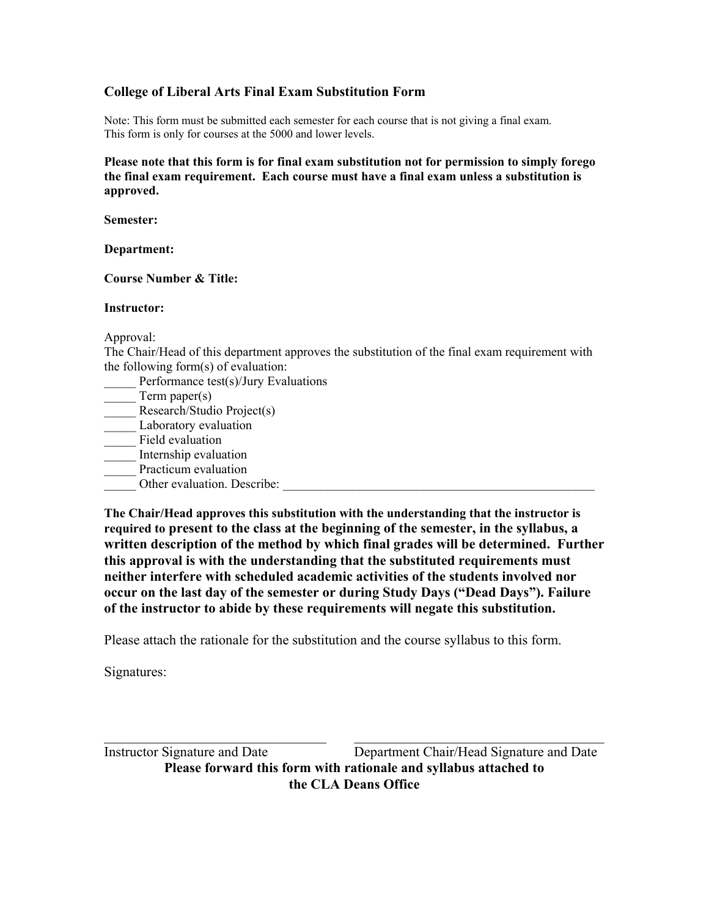## **College of Liberal Arts Final Exam Substitution Form**

Note: This form must be submitted each semester for each course that is not giving a final exam. This form is only for courses at the 5000 and lower levels.

**Please note that this form is for final exam substitution not for permission to simply forego the final exam requirement. Each course must have a final exam unless a substitution is approved.** 

**Semester:** 

**Department:** 

## **Course Number & Title:**

## **Instructor:**

Approval:

The Chair/Head of this department approves the substitution of the final exam requirement with the following form(s) of evaluation:

Performance test(s)/Jury Evaluations Term paper $(s)$ Research/Studio Project(s) Laboratory evaluation Field evaluation \_\_\_\_\_ Internship evaluation Practicum evaluation Other evaluation. Describe:

**The Chair/Head approves this substitution with the understanding that the instructor is required to present to the class at the beginning of the semester, in the syllabus, a written description of the method by which final grades will be determined. Further this approval is with the understanding that the substituted requirements must neither interfere with scheduled academic activities of the students involved nor occur on the last day of the semester or during Study Days ("Dead Days"). Failure of the instructor to abide by these requirements will negate this substitution.** 

Please attach the rationale for the substitution and the course syllabus to this form.

Signatures: